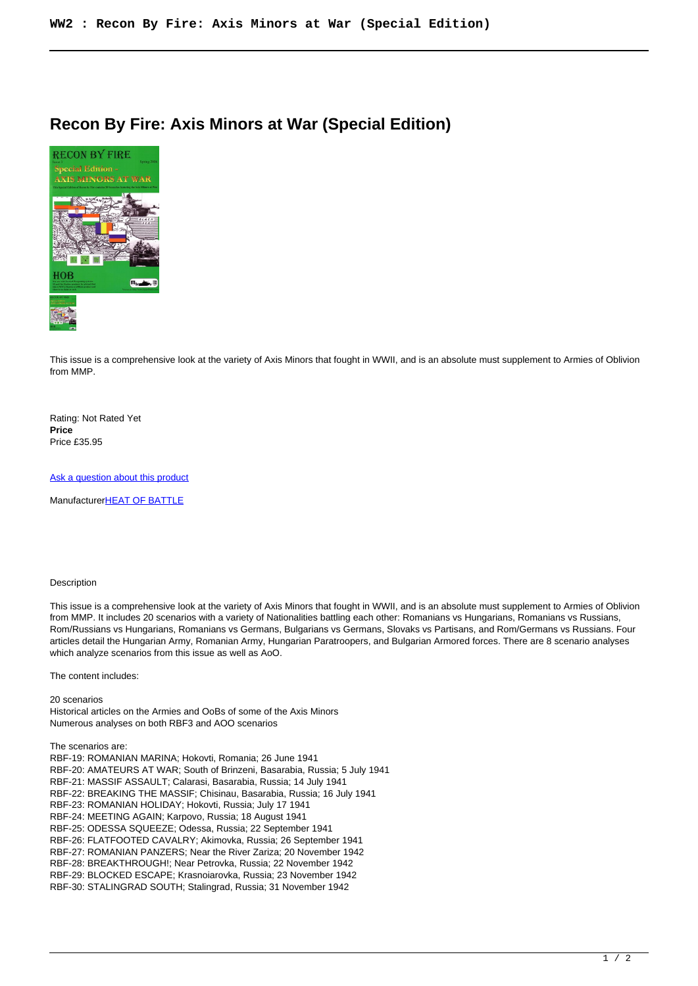## **Recon By Fire: Axis Minors at War (Special Edition)**



This issue is a comprehensive look at the variety of Axis Minors that fought in WWII, and is an absolute must supplement to Armies of Oblivion from MMP.

Rating: Not Rated Yet **Price**  Price £35.95

[Ask a question about this product](https://www.secondchancegames.com/index.php?option=com_virtuemart&view=productdetails&task=askquestion&virtuemart_product_id=7527&virtuemart_category_id=5&tmpl=component)

Manufacturer[HEAT OF BATTLE](https://www.secondchancegames.com/index.php?option=com_virtuemart&view=manufacturer&virtuemart_manufacturer_id=2542&tmpl=component)

## Description

This issue is a comprehensive look at the variety of Axis Minors that fought in WWII, and is an absolute must supplement to Armies of Oblivion from MMP. It includes 20 scenarios with a variety of Nationalities battling each other: Romanians vs Hungarians, Romanians vs Russians, Rom/Russians vs Hungarians, Romanians vs Germans, Bulgarians vs Germans, Slovaks vs Partisans, and Rom/Germans vs Russians. Four articles detail the Hungarian Army, Romanian Army, Hungarian Paratroopers, and Bulgarian Armored forces. There are 8 scenario analyses which analyze scenarios from this issue as well as AoO.

The content includes:

20 scenarios Historical articles on the Armies and OoBs of some of the Axis Minors Numerous analyses on both RBF3 and AOO scenarios

The scenarios are:

RBF-19: ROMANIAN MARINA; Hokovti, Romania; 26 June 1941 RBF-20: AMATEURS AT WAR; South of Brinzeni, Basarabia, Russia; 5 July 1941 RBF-21: MASSIF ASSAULT; Calarasi, Basarabia, Russia; 14 July 1941 RBF-22: BREAKING THE MASSIF; Chisinau, Basarabia, Russia; 16 July 1941 RBF-23: ROMANIAN HOLIDAY; Hokovti, Russia; July 17 1941 RBF-24: MEETING AGAIN; Karpovo, Russia; 18 August 1941 RBF-25: ODESSA SQUEEZE; Odessa, Russia; 22 September 1941 RBF-26: FLATFOOTED CAVALRY; Akimovka, Russia; 26 September 1941 RBF-27: ROMANIAN PANZERS; Near the River Zariza; 20 November 1942 RBF-28: BREAKTHROUGH!; Near Petrovka, Russia; 22 November 1942 RBF-29: BLOCKED ESCAPE; Krasnoiarovka, Russia; 23 November 1942 RBF-30: STALINGRAD SOUTH; Stalingrad, Russia; 31 November 1942